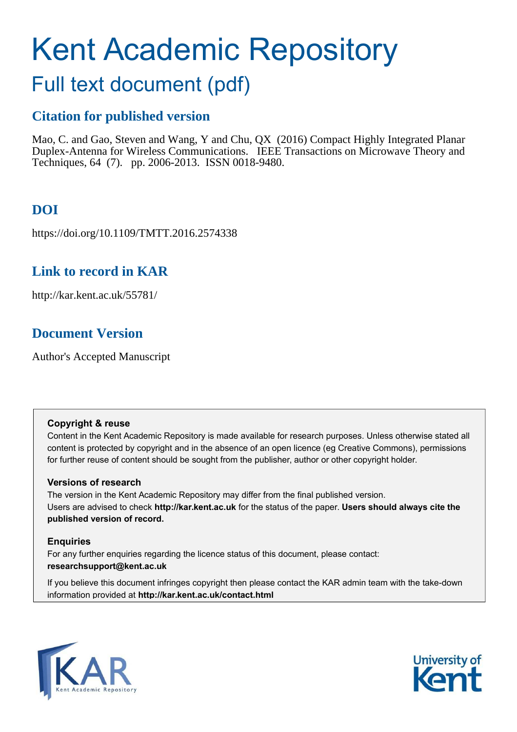# Kent Academic Repository

# Full text document (pdf)

## **Citation for published version**

Mao, C. and Gao, Steven and Wang, Y and Chu, QX (2016) Compact Highly Integrated Planar Duplex-Antenna for Wireless Communications. IEEE Transactions on Microwave Theory and Techniques, 64 (7). pp. 2006-2013. ISSN 0018-9480.

# **DOI**

https://doi.org/10.1109/TMTT.2016.2574338

## **Link to record in KAR**

http://kar.kent.ac.uk/55781/

## **Document Version**

Author's Accepted Manuscript

#### **Copyright & reuse**

Content in the Kent Academic Repository is made available for research purposes. Unless otherwise stated all content is protected by copyright and in the absence of an open licence (eg Creative Commons), permissions for further reuse of content should be sought from the publisher, author or other copyright holder.

#### **Versions of research**

The version in the Kent Academic Repository may differ from the final published version. Users are advised to check **http://kar.kent.ac.uk** for the status of the paper. **Users should always cite the published version of record.**

#### **Enquiries**

For any further enquiries regarding the licence status of this document, please contact: **researchsupport@kent.ac.uk**

If you believe this document infringes copyright then please contact the KAR admin team with the take-down information provided at **http://kar.kent.ac.uk/contact.html**



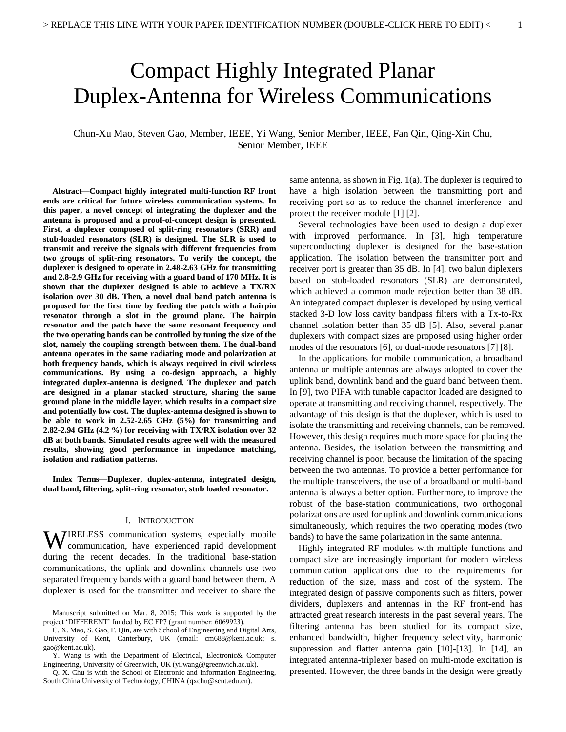# Compact Highly Integrated Planar Duplex-Antenna for Wireless Communications

Chun-Xu Mao, Steven Gao, Member, IEEE, Yi Wang, Senior Member, IEEE, Fan Qin, Qing-Xin Chu, Senior Member, IEEE

**Abstract—Compact highly integrated multi-function RF front ends are critical for future wireless communication systems. In this paper, a novel concept of integrating the duplexer and the antenna is proposed and a proof-of-concept design is presented. First, a duplexer composed of split-ring resonators (SRR) and stub-loaded resonators (SLR) is designed. The SLR is used to transmit and receive the signals with different frequencies from two groups of split-ring resonators. To verify the concept, the duplexer is designed to operate in 2.48-2.63 GHz for transmitting and 2.8-2.9 GHz for receiving with a guard band of 170 MHz. It is shown that the duplexer designed is able to achieve a TX/RX isolation over 30 dB. Then, a novel dual band patch antenna is proposed for the first time by feeding the patch with a hairpin resonator through a slot in the ground plane. The hairpin resonator and the patch have the same resonant frequency and the two operating bands can be controlled by tuning the size of the slot, namely the coupling strength between them. The dual-band antenna operates in the same radiating mode and polarization at both frequency bands, which is always required in civil wireless communications. By using a co-design approach, a highly integrated duplex-antenna is designed. The duplexer and patch are designed in a planar stacked structure, sharing the same ground plane in the middle layer, which results in a compact size and potentially low cost. The duplex-antenna designed is shown to be able to work in 2.52-2.65 GHz (5%) for transmitting and 2.82-2.94 GHz (4.2 %) for receiving with TX/RX isolation over 32 dB at both bands. Simulated results agree well with the measured results, showing good performance in impedance matching, isolation and radiation patterns.** 

**Index Terms—Duplexer, duplex-antenna, integrated design, dual band, filtering, split-ring resonator, stub loaded resonator.** 

#### I. INTRODUCTION

WIRELESS communication systems, especially mobile communication, have experienced rapid development communication, have experienced rapid development during the recent decades. In the traditional base-station communications, the uplink and downlink channels use two separated frequency bands with a guard band between them. A duplexer is used for the transmitter and receiver to share the

Q. X. Chu is with the School of Electronic and Information Engineering, South China University of Technology, CHINA (qxchu@scut.edu.cn).

same antenna, as shown in Fig. 1(a). The duplexer is required to have a high isolation between the transmitting port and receiving port so as to reduce the channel interference and protect the receiver module [1] [2].

Several technologies have been used to design a duplexer with improved performance. In [3], high temperature superconducting duplexer is designed for the base-station application. The isolation between the transmitter port and receiver port is greater than 35 dB. In [4], two balun diplexers based on stub-loaded resonators (SLR) are demonstrated, which achieved a common mode rejection better than 38 dB. An integrated compact duplexer is developed by using vertical stacked 3-D low loss cavity bandpass filters with a Tx-to-Rx channel isolation better than 35 dB [5]. Also, several planar duplexers with compact sizes are proposed using higher order modes of the resonators [6], or dual-mode resonators [7] [8].

In the applications for mobile communication, a broadband antenna or multiple antennas are always adopted to cover the uplink band, downlink band and the guard band between them. In [9], two PIFA with tunable capacitor loaded are designed to operate at transmitting and receiving channel, respectively. The advantage of this design is that the duplexer, which is used to isolate the transmitting and receiving channels, can be removed. However, this design requires much more space for placing the antenna. Besides, the isolation between the transmitting and receiving channel is poor, because the limitation of the spacing between the two antennas. To provide a better performance for the multiple transceivers, the use of a broadband or multi-band antenna is always a better option. Furthermore, to improve the robust of the base-station communications, two orthogonal polarizations are used for uplink and downlink communications simultaneously, which requires the two operating modes (two bands) to have the same polarization in the same antenna.

Highly integrated RF modules with multiple functions and compact size are increasingly important for modern wireless communication applications due to the requirements for reduction of the size, mass and cost of the system. The integrated design of passive components such as filters, power dividers, duplexers and antennas in the RF front-end has attracted great research interests in the past several years. The filtering antenna has been studied for its compact size, enhanced bandwidth, higher frequency selectivity, harmonic suppression and flatter antenna gain [10]-[13]. In [14], an integrated antenna-triplexer based on multi-mode excitation is presented. However, the three bands in the design were greatly

Manuscript submitted on Mar. 8, 2015; This work is supported by the project 'DIFFERENT' funded by EC FP7 (grant number: 6069923).

C. X. Mao, S. Gao, F. Qin, are with School of Engineering and Digital Arts, University of Kent, Canterbury, UK (email: cm688@kent.ac.uk; s. gao@kent.ac.uk).

Y. Wang is with the Department of Electrical, Electronic& Computer Engineering, University of Greenwich, UK (yi.wang@greenwich.ac.uk).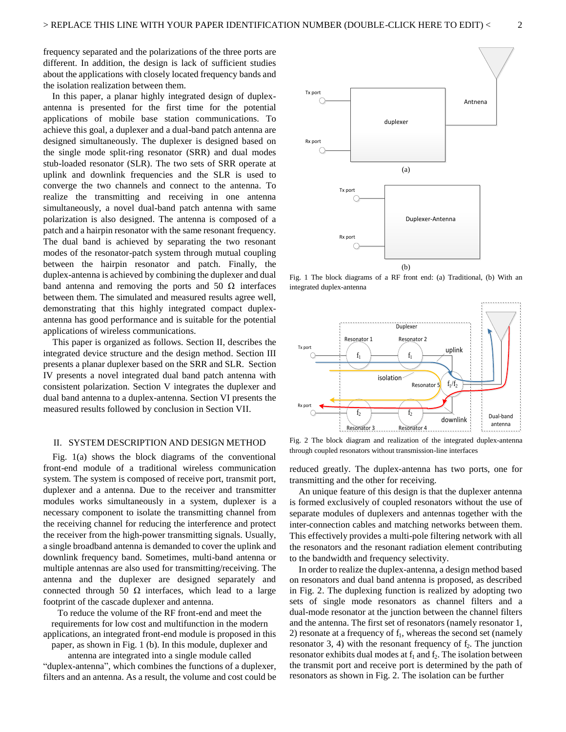frequency separated and the polarizations of the three ports are different. In addition, the design is lack of sufficient studies about the applications with closely located frequency bands and the isolation realization between them.

In this paper, a planar highly integrated design of duplexantenna is presented for the first time for the potential applications of mobile base station communications. To achieve this goal, a duplexer and a dual-band patch antenna are designed simultaneously. The duplexer is designed based on the single mode split-ring resonator (SRR) and dual modes stub-loaded resonator (SLR). The two sets of SRR operate at uplink and downlink frequencies and the SLR is used to converge the two channels and connect to the antenna. To realize the transmitting and receiving in one antenna simultaneously, a novel dual-band patch antenna with same polarization is also designed. The antenna is composed of a patch and a hairpin resonator with the same resonant frequency. The dual band is achieved by separating the two resonant modes of the resonator-patch system through mutual coupling between the hairpin resonator and patch. Finally, the duplex-antenna is achieved by combining the duplexer and dual band antenna and removing the ports and 50  $\Omega$  interfaces between them. The simulated and measured results agree well, demonstrating that this highly integrated compact duplexantenna has good performance and is suitable for the potential applications of wireless communications.

This paper is organized as follows. Section II, describes the integrated device structure and the design method. Section III presents a planar duplexer based on the SRR and SLR. Section IV presents a novel integrated dual band patch antenna with consistent polarization. Section V integrates the duplexer and dual band antenna to a duplex-antenna. Section VI presents the measured results followed by conclusion in Section VII.

#### II. SYSTEM DESCRIPTION AND DESIGN METHOD

Fig. 1(a) shows the block diagrams of the conventional front-end module of a traditional wireless communication system. The system is composed of receive port, transmit port, duplexer and a antenna. Due to the receiver and transmitter modules works simultaneously in a system, duplexer is a necessary component to isolate the transmitting channel from the receiving channel for reducing the interference and protect the receiver from the high-power transmitting signals. Usually, a single broadband antenna is demanded to cover the uplink and downlink frequency band. Sometimes, multi-band antenna or multiple antennas are also used for transmitting/receiving. The antenna and the duplexer are designed separately and connected through 50  $\Omega$  interfaces, which lead to a large footprint of the cascade duplexer and antenna.

To reduce the volume of the RF front-end and meet the requirements for low cost and multifunction in the modern applications, an integrated front-end module is proposed in this paper, as shown in Fig. 1 (b). In this module, duplexer and

antenna are integrated into a single module called "duplex-antenna", which combines the functions of a duplexer, filters and an antenna. As a result, the volume and cost could be



Fig. 1 The block diagrams of a RF front end: (a) Traditional, (b) With an integrated duplex-antenna



Fig. 2 The block diagram and realization of the integrated duplex-antenna through coupled resonators without transmission-line interfaces

reduced greatly. The duplex-antenna has two ports, one for transmitting and the other for receiving.

An unique feature of this design is that the duplexer antenna is formed exclusively of coupled resonators without the use of separate modules of duplexers and antennas together with the inter-connection cables and matching networks between them. This effectively provides a multi-pole filtering network with all the resonators and the resonant radiation element contributing to the bandwidth and frequency selectivity.

In order to realize the duplex-antenna, a design method based on resonators and dual band antenna is proposed, as described in Fig. 2. The duplexing function is realized by adopting two sets of single mode resonators as channel filters and a dual-mode resonator at the junction between the channel filters and the antenna. The first set of resonators (namely resonator 1, 2) resonate at a frequency of  $f_1$ , whereas the second set (namely resonator 3, 4) with the resonant frequency of  $f_2$ . The junction resonator exhibits dual modes at  $f_1$  and  $f_2$ . The isolation between the transmit port and receive port is determined by the path of resonators as shown in Fig. 2. The isolation can be further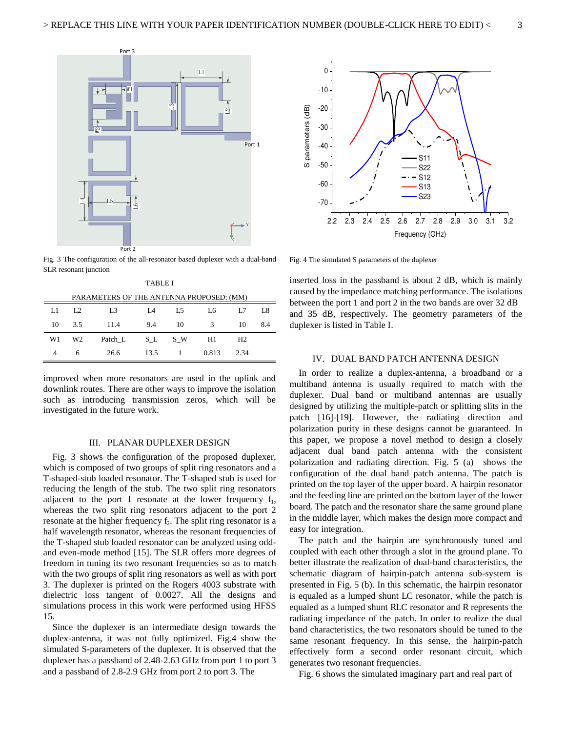

Fig. 3 The configuration of the all-resonator based duplexer with a dual-band SLR resonant junction

| TABLE I                                  |                |                |      |     |       |                |     |
|------------------------------------------|----------------|----------------|------|-----|-------|----------------|-----|
| PARAMETERS OF THE ANTENNA PROPOSED: (MM) |                |                |      |     |       |                |     |
| L1                                       | L <sub>2</sub> | L <sub>3</sub> | I A  | L5  | Lб    | L.7            | L8  |
| 10                                       | 3.5            | 11.4           | 9.4  | 10  | 3     | 10             | 8.4 |
| W1                                       | W <sub>2</sub> | Patch L        | S L  | S W | H1    | H <sub>2</sub> |     |
| 4                                        | 6              | 26.6           | 13.5 |     | 0.813 | 2.34           |     |

improved when more resonators are used in the uplink and downlink routes. There are other ways to improve the isolation such as introducing transmission zeros, which will be investigated in the future work.

#### III. PLANAR DUPLEXER DESIGN

Fig. 3 shows the configuration of the proposed duplexer, which is composed of two groups of split ring resonators and a T-shaped-stub loaded resonator. The T-shaped stub is used for reducing the length of the stub. The two split ring resonators adjacent to the port 1 resonate at the lower frequency  $f_1$ , whereas the two split ring resonators adjacent to the port 2 resonate at the higher frequency  $f_2$ . The split ring resonator is a half wavelength resonator, whereas the resonant frequencies of the T-shaped stub loaded resonator can be analyzed using oddand even-mode method [15]. The SLR offers more degrees of freedom in tuning its two resonant frequencies so as to match with the two groups of split ring resonators as well as with port 3. The duplexer is printed on the Rogers 4003 substrate with dielectric loss tangent of 0.0027. All the designs and simulations process in this work were performed using HFSS 15.

Since the duplexer is an intermediate design towards the duplex-antenna, it was not fully optimized. Fig.4 show the simulated S-parameters of the duplexer. It is observed that the duplexer has a passband of 2.48-2.63 GHz from port 1 to port 3 and a passband of 2.8-2.9 GHz from port 2 to port 3. The



Fig. 4 The simulated S parameters of the duplexer

inserted loss in the passband is about 2 dB, which is mainly caused by the impedance matching performance. The isolations between the port 1 and port 2 in the two bands are over 32 dB and 35 dB, respectively. The geometry parameters of the duplexer is listed in Table I.

#### IV. DUAL BAND PATCH ANTENNA DESIGN

In order to realize a duplex-antenna, a broadband or a multiband antenna is usually required to match with the duplexer. Dual band or multiband antennas are usually designed by utilizing the multiple-patch or splitting slits in the patch [16]-[19]. However, the radiating direction and polarization purity in these designs cannot be guaranteed. In this paper, we propose a novel method to design a closely adjacent dual band patch antenna with the consistent polarization and radiating direction. Fig. 5 (a) shows the configuration of the dual band patch antenna. The patch is printed on the top layer of the upper board. A hairpin resonator and the feeding line are printed on the bottom layer of the lower board. The patch and the resonator share the same ground plane in the middle layer, which makes the design more compact and easy for integration.

The patch and the hairpin are synchronously tuned and coupled with each other through a slot in the ground plane. To better illustrate the realization of dual-band characteristics, the schematic diagram of hairpin-patch antenna sub-system is presented in Fig. 5 (b). In this schematic, the hairpin resonator is equaled as a lumped shunt LC resonator, while the patch is equaled as a lumped shunt RLC resonator and R represents the radiating impedance of the patch. In order to realize the dual band characteristics, the two resonators should be tuned to the same resonant frequency. In this sense, the hairpin-patch effectively form a second order resonant circuit, which generates two resonant frequencies.

Fig. 6 shows the simulated imaginary part and real part of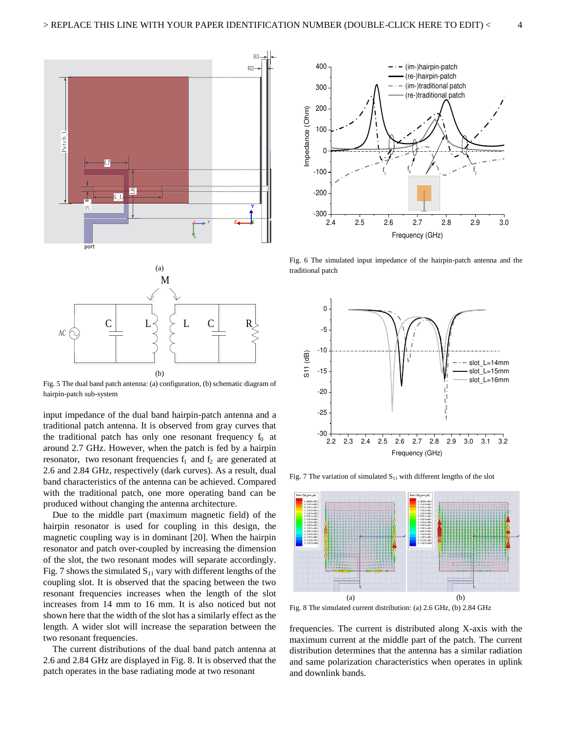

Fig. 5 The dual band patch antenna: (a) configuration, (b) schematic diagram of hairpin-patch sub-system

input impedance of the dual band hairpin-patch antenna and a traditional patch antenna. It is observed from gray curves that the traditional patch has only one resonant frequency  $f_0$  at around 2.7 GHz. However, when the patch is fed by a hairpin resonator, two resonant frequencies  $f_1$  and  $f_2$  are generated at 2.6 and 2.84 GHz, respectively (dark curves). As a result, dual band characteristics of the antenna can be achieved. Compared with the traditional patch, one more operating band can be produced without changing the antenna architecture.

Due to the middle part (maximum magnetic field) of the hairpin resonator is used for coupling in this design, the magnetic coupling way is in dominant [20]. When the hairpin resonator and patch over-coupled by increasing the dimension of the slot, the two resonant modes will separate accordingly. Fig. 7 shows the simulated  $S_{11}$  vary with different lengths of the coupling slot. It is observed that the spacing between the two resonant frequencies increases when the length of the slot increases from 14 mm to 16 mm. It is also noticed but not shown here that the width of the slot has a similarly effect as the length. A wider slot will increase the separation between the two resonant frequencies.

The current distributions of the dual band patch antenna at 2.6 and 2.84 GHz are displayed in Fig. 8. It is observed that the patch operates in the base radiating mode at two resonant



Fig. 6 The simulated input impedance of the hairpin-patch antenna and the traditional patch



Fig. 7 The variation of simulated  $S_{11}$  with different lengths of the slot



Fig. 8 The simulated current distribution: (a) 2.6 GHz, (b) 2.84 GHz

frequencies. The current is distributed along X-axis with the maximum current at the middle part of the patch. The current distribution determines that the antenna has a similar radiation and same polarization characteristics when operates in uplink and downlink bands.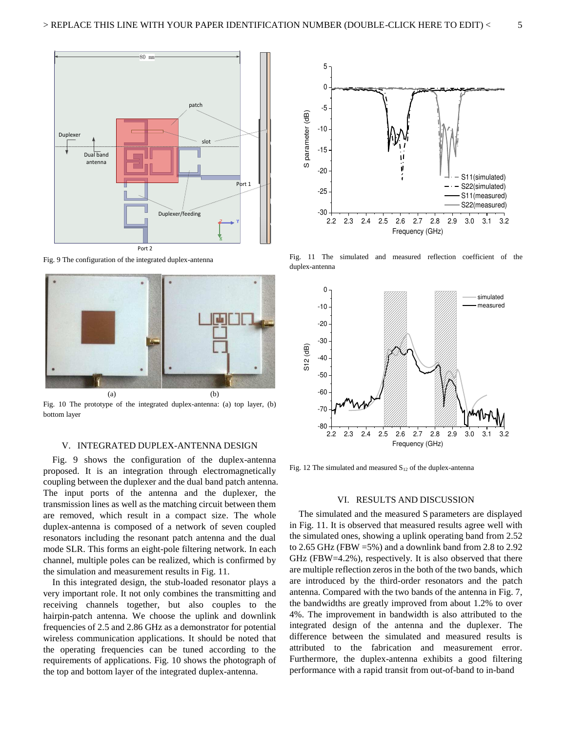

Fig. 9 The configuration of the integrated duplex-antenna



Fig. 10 The prototype of the integrated duplex-antenna: (a) top layer, (b) bottom layer

#### V. INTEGRATED DUPLEX-ANTENNA DESIGN

Fig. 9 shows the configuration of the duplex-antenna proposed. It is an integration through electromagnetically coupling between the duplexer and the dual band patch antenna. The input ports of the antenna and the duplexer, the transmission lines as well as the matching circuit between them are removed, which result in a compact size. The whole duplex-antenna is composed of a network of seven coupled resonators including the resonant patch antenna and the dual mode SLR. This forms an eight-pole filtering network. In each channel, multiple poles can be realized, which is confirmed by the simulation and measurement results in Fig. 11.

In this integrated design, the stub-loaded resonator plays a very important role. It not only combines the transmitting and receiving channels together, but also couples to the hairpin-patch antenna. We choose the uplink and downlink frequencies of 2.5 and 2.86 GHz as a demonstrator for potential wireless communication applications. It should be noted that the operating frequencies can be tuned according to the requirements of applications. Fig. 10 shows the photograph of the top and bottom layer of the integrated duplex-antenna.



Fig. 11 The simulated and measured reflection coefficient of the duplex-antenna



Fig. 12 The simulated and measured  $S_{12}$  of the duplex-antenna

#### VI. RESULTS AND DISCUSSION

The simulated and the measured S parameters are displayed in Fig. 11. It is observed that measured results agree well with the simulated ones, showing a uplink operating band from 2.52 to 2.65 GHz (FBW =5%) and a downlink band from 2.8 to 2.92 GHz (FBW=4.2%), respectively. It is also observed that there are multiple reflection zeros in the both of the two bands, which are introduced by the third-order resonators and the patch antenna. Compared with the two bands of the antenna in Fig. 7, the bandwidths are greatly improved from about 1.2% to over 4%. The improvement in bandwidth is also attributed to the integrated design of the antenna and the duplexer. The difference between the simulated and measured results is attributed to the fabrication and measurement error. Furthermore, the duplex-antenna exhibits a good filtering performance with a rapid transit from out-of-band to in-band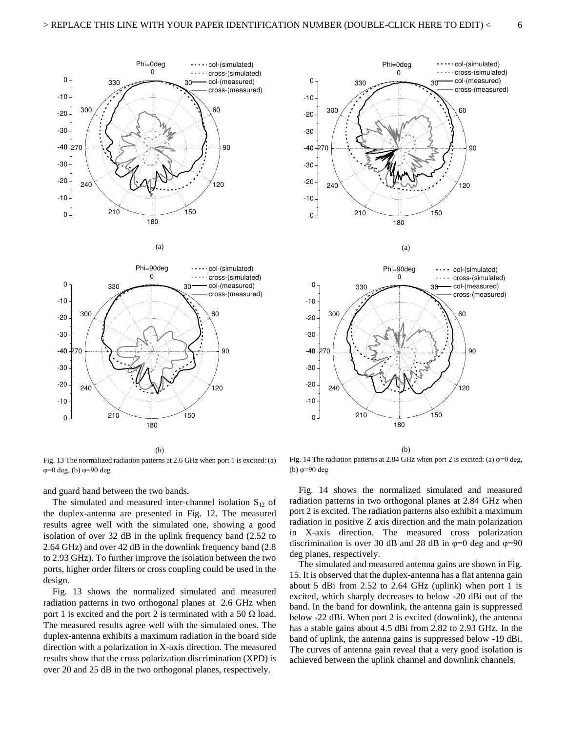





(b)

Fig. 13 The normalized radiation patterns at 2.6 GHz when port 1 is excited: (a)  $\varphi=0$  deg, (b)  $\varphi=90$  deg

and guard band between the two bands.

The simulated and measured inter-channel isolation  $S_{12}$  of the duplex-antenna are presented in Fig. 12. The measured results agree well with the simulated one, showing a good isolation of over 32 dB in the uplink frequency band (2.52 to 2.64 GHz) and over 42 dB in the downlink frequency band (2.8 to 2.93 GHz). To further improve the isolation between the two ports, higher order filters or cross coupling could be used in the design.

Fig. 13 shows the normalized simulated and measured radiation patterns in two orthogonal planes at 2.6 GHz when port 1 is excited and the port 2 is terminated with a 50  $\Omega$  load. The measured results agree well with the simulated ones. The duplex-antenna exhibits a maximum radiation in the board side direction with a polarization in X-axis direction. The measured results show that the cross polarization discrimination (XPD) is over 20 and 25 dB in the two orthogonal planes, respectively.





(a)

(b)

Fig. 14 The radiation patterns at 2.84 GHz when port 2 is excited: (a)  $\varphi=0$  deg, (b)  $\varphi=90$  deg

Fig. 14 shows the normalized simulated and measured radiation patterns in two orthogonal planes at 2.84 GHz when port 2 is excited. The radiation patterns also exhibit a maximum radiation in positive Z axis direction and the main polarization in X-axis direction. The measured cross polarization discrimination is over 30 dB and 28 dB in  $\varphi=0$  deg and  $\varphi=90$ deg planes, respectively.

The simulated and measured antenna gains are shown in Fig. 15. It is observed that the duplex-antenna has a flat antenna gain about 5 dBi from 2.52 to 2.64 GHz (uplink) when port 1 is excited, which sharply decreases to below -20 dBi out of the band. In the band for downlink, the antenna gain is suppressed below -22 dBi. When port 2 is excited (downlink), the antenna has a stable gains about 4.5 dBi from 2.82 to 2.93 GHz. In the band of uplink, the antenna gains is suppressed below -19 dBi. The curves of antenna gain reveal that a very good isolation is achieved between the uplink channel and downlink channels.